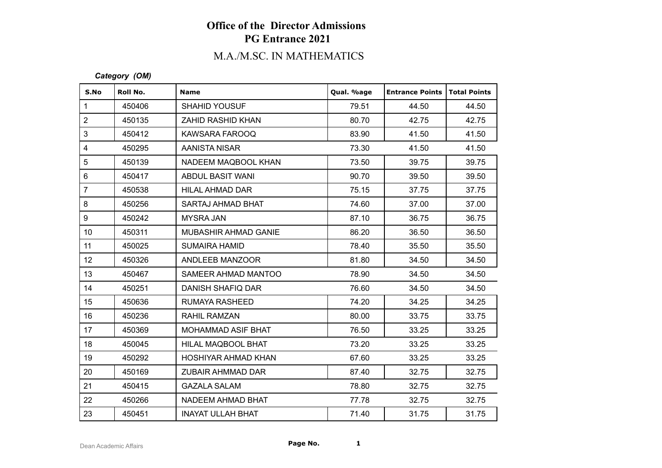# M.A./M.SC. IN MATHEMATICS

#### *Category (OM)*

| S.No                      | Roll No. | <b>Name</b>              | Qual. %age | <b>Entrance Points</b> | Total Points |
|---------------------------|----------|--------------------------|------------|------------------------|--------------|
| $\mathbf 1$               | 450406   | <b>SHAHID YOUSUF</b>     | 79.51      | 44.50                  | 44.50        |
| $\overline{2}$            | 450135   | ZAHID RASHID KHAN        | 80.70      | 42.75                  | 42.75        |
| $\ensuremath{\mathsf{3}}$ | 450412   | KAWSARA FAROOQ           | 83.90      | 41.50                  | 41.50        |
| $\overline{4}$            | 450295   | AANISTA NISAR            | 73.30      | 41.50                  | 41.50        |
| $\sqrt{5}$                | 450139   | NADEEM MAQBOOL KHAN      | 73.50      | 39.75                  | 39.75        |
| $\,6\,$                   | 450417   | ABDUL BASIT WANI         | 90.70      | 39.50                  | 39.50        |
| $\overline{7}$            | 450538   | HILAL AHMAD DAR          | 75.15      | 37.75                  | 37.75        |
| $\bf 8$                   | 450256   | SARTAJ AHMAD BHAT        | 74.60      | 37.00                  | 37.00        |
| $\boldsymbol{9}$          | 450242   | <b>MYSRA JAN</b>         | 87.10      | 36.75                  | 36.75        |
| 10 <sup>°</sup>           | 450311   | MUBASHIR AHMAD GANIE     | 86.20      | 36.50                  | 36.50        |
| 11                        | 450025   | <b>SUMAIRA HAMID</b>     | 78.40      | 35.50                  | 35.50        |
| 12                        | 450326   | ANDLEEB MANZOOR          | 81.80      | 34.50                  | 34.50        |
| 13                        | 450467   | SAMEER AHMAD MANTOO      | 78.90      | 34.50                  | 34.50        |
| 14                        | 450251   | DANISH SHAFIQ DAR        | 76.60      | 34.50                  | 34.50        |
| 15 <sub>15</sub>          | 450636   | RUMAYA RASHEED           | 74.20      | 34.25                  | 34.25        |
| 16                        | 450236   | RAHIL RAMZAN             | 80.00      | 33.75                  | 33.75        |
| 17                        | 450369   | MOHAMMAD ASIF BHAT       | 76.50      | 33.25                  | 33.25        |
| 18                        | 450045   | HILAL MAQBOOL BHAT       | 73.20      | 33.25                  | 33.25        |
| 19                        | 450292   | HOSHIYAR AHMAD KHAN      | 67.60      | 33.25                  | 33.25        |
| 20                        | 450169   | ZUBAIR AHMMAD DAR        | 87.40      | 32.75                  | 32.75        |
| 21                        | 450415   | <b>GAZALA SALAM</b>      | 78.80      | 32.75                  | 32.75        |
| 22                        | 450266   | NADEEM AHMAD BHAT        | 77.78      | 32.75                  | 32.75        |
| 23                        | 450451   | <b>INAYAT ULLAH BHAT</b> | 71.40      | 31.75                  | 31.75        |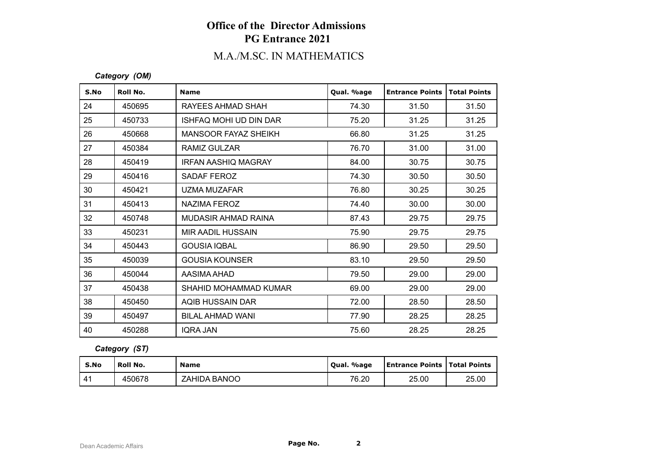# M.A./M.SC. IN MATHEMATICS

#### *Category (OM)*

| S.No | Roll No. | <b>Name</b>                 | Qual. %age | <b>Entrance Points</b> | <b>Total Points</b> |
|------|----------|-----------------------------|------------|------------------------|---------------------|
| 24   | 450695   | RAYEES AHMAD SHAH           | 74.30      | 31.50                  | 31.50               |
| 25   | 450733   | ISHFAQ MOHI UD DIN DAR      | 75.20      | 31.25                  | 31.25               |
| 26   | 450668   | <b>MANSOOR FAYAZ SHEIKH</b> | 66.80      | 31.25                  | 31.25               |
| 27   | 450384   | RAMIZ GULZAR                | 76.70      | 31.00                  | 31.00               |
| 28   | 450419   | IRFAN AASHIQ MAGRAY         | 84.00      | 30.75                  | 30.75               |
| 29   | 450416   | SADAF FEROZ                 | 74.30      | 30.50                  | 30.50               |
| 30   | 450421   | UZMA MUZAFAR                | 76.80      | 30.25                  | 30.25               |
| 31   | 450413   | NAZIMA FEROZ                | 74.40      | 30.00                  | 30.00               |
| 32   | 450748   | <b>MUDASIR AHMAD RAINA</b>  | 87.43      | 29.75                  | 29.75               |
| 33   | 450231   | MIR AADIL HUSSAIN           | 75.90      | 29.75                  | 29.75               |
| 34   | 450443   | <b>GOUSIA IOBAL</b>         | 86.90      | 29.50                  | 29.50               |
| 35   | 450039   | <b>GOUSIA KOUNSER</b>       | 83.10      | 29.50                  | 29.50               |
| 36   | 450044   | AASIMA AHAD                 | 79.50      | 29.00                  | 29.00               |
| 37   | 450438   | SHAHID MOHAMMAD KUMAR       | 69.00      | 29.00                  | 29.00               |
| 38   | 450450   | AQIB HUSSAIN DAR            | 72.00      | 28.50                  | 28.50               |
| 39   | 450497   | <b>BILAL AHMAD WANI</b>     | 77.90      | 28.25                  | 28.25               |
| 40   | 450288   | <b>IQRA JAN</b>             | 75.60      | 28.25                  | 28.25               |

### *Category (ST)*

| S.No | Roll No. | <b>Name</b>         | Oual, %age | <b>Entrance Points   Total Points</b> |       |
|------|----------|---------------------|------------|---------------------------------------|-------|
|      | 450678   | <b>ZAHIDA BANOO</b> | 76.20      | 25.00                                 | 25.00 |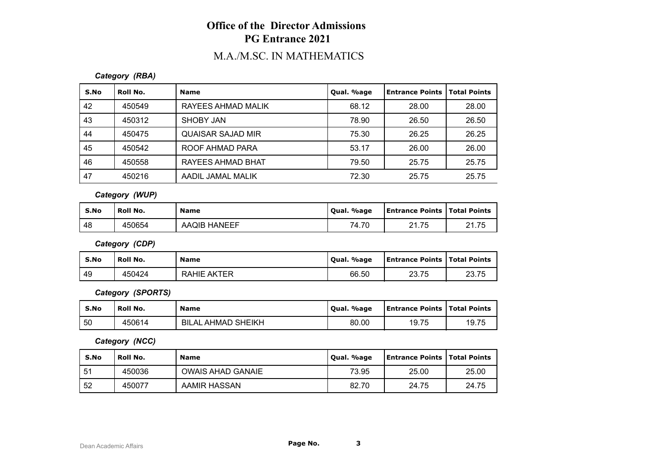# M.A./M.SC. IN MATHEMATICS

### *Category (RBA)*

| S.No | Roll No. | <b>Name</b>              | Qual. %age | Entrance Points | <b>Total Points</b> |
|------|----------|--------------------------|------------|-----------------|---------------------|
| 42   | 450549   | RAYEES AHMAD MALIK       | 68.12      | 28.00           | 28.00               |
| 43   | 450312   | SHOBY JAN                | 78.90      | 26.50           | 26.50               |
| 44   | 450475   | <b>QUAISAR SAJAD MIR</b> | 75.30      | 26.25           | 26.25               |
| 45   | 450542   | ROOF AHMAD PARA          | 53.17      | 26.00           | 26.00               |
| 46   | 450558   | RAYEES AHMAD BHAT        | 79.50      | 25.75           | 25.75               |
| 47   | 450216   | AADIL JAMAL MALIK        | 72.30      | 25.75           | 25.75               |

*Category (WUP)*

| S.No | <b>Roll No.</b> | <b>Name</b>         | Qual. %age | Entrance Points   Total Points |       |
|------|-----------------|---------------------|------------|--------------------------------|-------|
| -48  | 450654          | <b>AAQIB HANEEF</b> | 74.70      | 2175                           | 21.75 |

*Category (CDP)*

| S.No | <b>Roll No.</b> | <b>Name</b>        | Qual. %age | <b>Entrance Points   Total Points</b> |       |
|------|-----------------|--------------------|------------|---------------------------------------|-------|
| 49   | 450424          | <b>RAHIE AKTER</b> | 66.50      | 23.75                                 | 23.75 |

*Category (SPORTS)*

| S.No | Roll No. | <b>Name</b>               | Oual, %age | <b>Entrance Points   Total Points</b> |       |
|------|----------|---------------------------|------------|---------------------------------------|-------|
| 50   | 450614   | <b>BILAL AHMAD SHEIKH</b> | 80.00      | 19.75                                 | 19.75 |

*Category (NCC)*

| S.No | Roll No. | <b>Name</b>              | Qual. %age | Entrance Points   Total Points |       |
|------|----------|--------------------------|------------|--------------------------------|-------|
| -51  | 450036   | <b>OWAIS AHAD GANAIE</b> | 73.95      | 25.00                          | 25.00 |
| 52   | 450077   | AAMIR HASSAN             | 82.70      | 24.75                          | 24.75 |